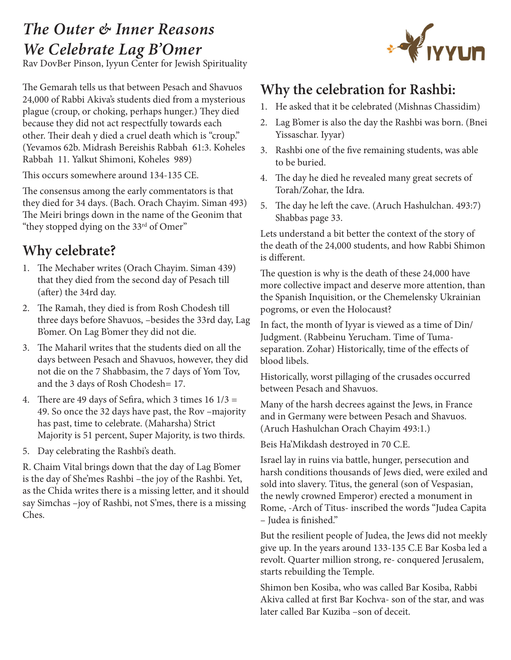## *The Outer & Inner Reasons We Celebrate Lag B'Omer*

Rav DovBer Pinson, Iyyun Center for Jewish Spirituality

The Gemarah tells us that between Pesach and Shavuos 24,000 of Rabbi Akiva's students died from a mysterious plague (croup, or choking, perhaps hunger.) They died because they did not act respectfully towards each other. Their deah y died a cruel death which is "croup." (Yevamos 62b. Midrash Bereishis Rabbah 61:3. Koheles Rabbah 11. Yalkut Shimoni, Koheles 989)

This occurs somewhere around 134-135 CE.

The consensus among the early commentators is that they died for 34 days. (Bach. Orach Chayim. Siman 493) The Meiri brings down in the name of the Geonim that "they stopped dying on the 33<sup>rd</sup> of Omer"

## **Why celebrate?**

- 1. The Mechaber writes (Orach Chayim. Siman 439) that they died from the second day of Pesach till (after) the 34rd day.
- 2. The Ramah, they died is from Rosh Chodesh till three days before Shavuos, –besides the 33rd day, Lag B'omer. On Lag B'omer they did not die.
- 3. The Maharil writes that the students died on all the days between Pesach and Shavuos, however, they did not die on the 7 Shabbasim, the 7 days of Yom Tov, and the 3 days of Rosh Chodesh= 17.
- 4. There are 49 days of Sefira, which 3 times  $16 \frac{1}{3} =$ 49. So once the 32 days have past, the Rov –majority has past, time to celebrate. (Maharsha) Strict Majority is 51 percent, Super Majority, is two thirds.
- 5. Day celebrating the Rashbi's death.

R. Chaim Vital brings down that the day of Lag B'omer is the day of She'mes Rashbi –the joy of the Rashbi. Yet, as the Chida writes there is a missing letter, and it should say Simchas –joy of Rashbi, not S'mes, there is a missing Ches.



## **Why the celebration for Rashbi:**

- 1. He asked that it be celebrated (Mishnas Chassidim)
- 2. Lag B'omer is also the day the Rashbi was born. (Bnei Yissaschar. Iyyar)
- 3. Rashbi one of the five remaining students, was able to be buried.
- 4. The day he died he revealed many great secrets of Torah/Zohar, the Idra.
- 5. The day he left the cave. (Aruch Hashulchan. 493:7) Shabbas page 33.

Lets understand a bit better the context of the story of the death of the 24,000 students, and how Rabbi Shimon is different.

The question is why is the death of these 24,000 have more collective impact and deserve more attention, than the Spanish Inquisition, or the Chemelensky Ukrainian pogroms, or even the Holocaust?

In fact, the month of Iyyar is viewed as a time of Din/ Judgment. (Rabbeinu Yerucham. Time of Tumaseparation. Zohar) Historically, time of the effects of blood libels.

Historically, worst pillaging of the crusades occurred between Pesach and Shavuos.

Many of the harsh decrees against the Jews, in France and in Germany were between Pesach and Shavuos. (Aruch Hashulchan Orach Chayim 493:1.)

Beis Ha'Mikdash destroyed in 70 C.E.

Israel lay in ruins via battle, hunger, persecution and harsh conditions thousands of Jews died, were exiled and sold into slavery. Titus, the general (son of Vespasian, the newly crowned Emperor) erected a monument in Rome, -Arch of Titus- inscribed the words "Judea Capita – Judea is finished."

But the resilient people of Judea, the Jews did not meekly give up. In the years around 133-135 C.E Bar Kosba led a revolt. Quarter million strong, re- conquered Jerusalem, starts rebuilding the Temple.

Shimon ben Kosiba, who was called Bar Kosiba, Rabbi Akiva called at first Bar Kochva- son of the star, and was later called Bar Kuziba –son of deceit.